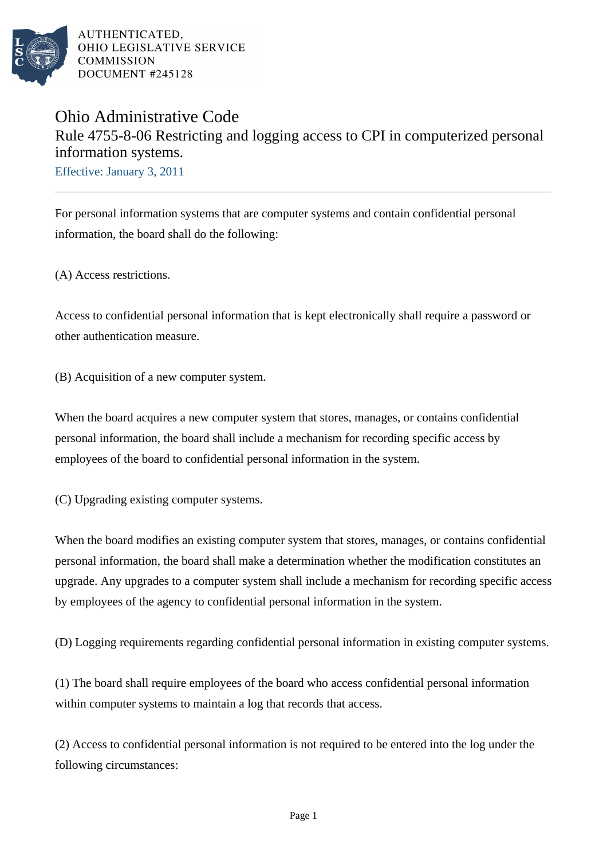

AUTHENTICATED. OHIO LEGISLATIVE SERVICE **COMMISSION** DOCUMENT #245128

## Ohio Administrative Code Rule 4755-8-06 Restricting and logging access to CPI in computerized personal information systems.

Effective: January 3, 2011

For personal information systems that are computer systems and contain confidential personal information, the board shall do the following:

(A) Access restrictions.

Access to confidential personal information that is kept electronically shall require a password or other authentication measure.

(B) Acquisition of a new computer system.

When the board acquires a new computer system that stores, manages, or contains confidential personal information, the board shall include a mechanism for recording specific access by employees of the board to confidential personal information in the system.

(C) Upgrading existing computer systems.

When the board modifies an existing computer system that stores, manages, or contains confidential personal information, the board shall make a determination whether the modification constitutes an upgrade. Any upgrades to a computer system shall include a mechanism for recording specific access by employees of the agency to confidential personal information in the system.

(D) Logging requirements regarding confidential personal information in existing computer systems.

(1) The board shall require employees of the board who access confidential personal information within computer systems to maintain a log that records that access.

(2) Access to confidential personal information is not required to be entered into the log under the following circumstances: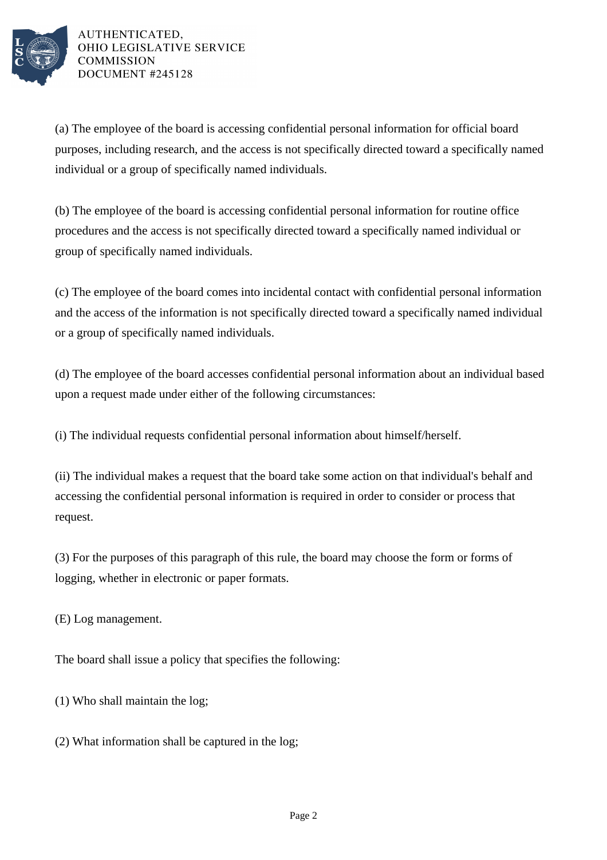

AUTHENTICATED. OHIO LEGISLATIVE SERVICE **COMMISSION** DOCUMENT #245128

(a) The employee of the board is accessing confidential personal information for official board purposes, including research, and the access is not specifically directed toward a specifically named individual or a group of specifically named individuals.

(b) The employee of the board is accessing confidential personal information for routine office procedures and the access is not specifically directed toward a specifically named individual or group of specifically named individuals.

(c) The employee of the board comes into incidental contact with confidential personal information and the access of the information is not specifically directed toward a specifically named individual or a group of specifically named individuals.

(d) The employee of the board accesses confidential personal information about an individual based upon a request made under either of the following circumstances:

(i) The individual requests confidential personal information about himself/herself.

(ii) The individual makes a request that the board take some action on that individual's behalf and accessing the confidential personal information is required in order to consider or process that request.

(3) For the purposes of this paragraph of this rule, the board may choose the form or forms of logging, whether in electronic or paper formats.

(E) Log management.

The board shall issue a policy that specifies the following:

(1) Who shall maintain the log;

(2) What information shall be captured in the log;